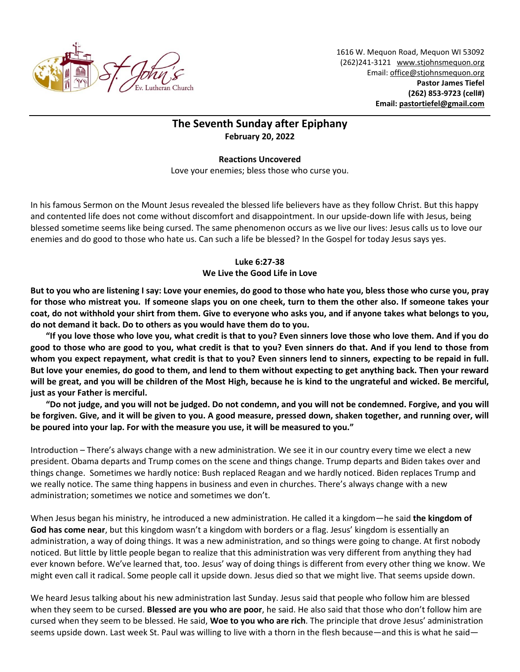

1616 W. Mequon Road, Mequon WI 53092 (262)241-3121 [www.stjohnsmequon.org](http://www.stjohnsmequon.org/) Email[: office@stjohnsmequon.org](mailto:office@stjohnsmequon.org) **Pastor James Tiefel (262) 853-9723 (cell#) Email: [pastortiefel@gmail.com](mailto:pastortiefel@gmail.com)**

## **The Seventh Sunday after Epiphany February 20, 2022**

## **Reactions Uncovered**

Love your enemies; bless those who curse you.

In his famous Sermon on the Mount Jesus revealed the blessed life believers have as they follow Christ. But this happy and contented life does not come without discomfort and disappointment. In our upside-down life with Jesus, being blessed sometime seems like being cursed. The same phenomenon occurs as we live our lives: Jesus calls us to love our enemies and do good to those who hate us. Can such a life be blessed? In the Gospel for today Jesus says yes.

## **Luke 6:27-38 We Live the Good Life in Love**

**But to you who are listening I say: Love your enemies, do good to those who hate you, bless those who curse you, pray for those who mistreat you. If someone slaps you on one cheek, turn to them the other also. If someone takes your coat, do not withhold your shirt from them. Give to everyone who asks you, and if anyone takes what belongs to you, do not demand it back. Do to others as you would have them do to you.** 

**"If you love those who love you, what credit is that to you? Even sinners love those who love them. And if you do good to those who are good to you, what credit is that to you? Even sinners do that. And if you lend to those from whom you expect repayment, what credit is that to you? Even sinners lend to sinners, expecting to be repaid in full. But love your enemies, do good to them, and lend to them without expecting to get anything back. Then your reward will be great, and you will be children of the Most High, because he is kind to the ungrateful and wicked. Be merciful, just as your Father is merciful.** 

**"Do not judge, and you will not be judged. Do not condemn, and you will not be condemned. Forgive, and you will be forgiven. Give, and it will be given to you. A good measure, pressed down, shaken together, and running over, will be poured into your lap. For with the measure you use, it will be measured to you."**

Introduction – There's always change with a new administration. We see it in our country every time we elect a new president. Obama departs and Trump comes on the scene and things change. Trump departs and Biden takes over and things change. Sometimes we hardly notice: Bush replaced Reagan and we hardly noticed. Biden replaces Trump and we really notice. The same thing happens in business and even in churches. There's always change with a new administration; sometimes we notice and sometimes we don't.

When Jesus began his ministry, he introduced a new administration. He called it a kingdom—he said **the kingdom of God has come near**, but this kingdom wasn't a kingdom with borders or a flag. Jesus' kingdom is essentially an administration, a way of doing things. It was a new administration, and so things were going to change. At first nobody noticed. But little by little people began to realize that this administration was very different from anything they had ever known before. We've learned that, too. Jesus' way of doing things is different from every other thing we know. We might even call it radical. Some people call it upside down. Jesus died so that we might live. That seems upside down.

We heard Jesus talking about his new administration last Sunday. Jesus said that people who follow him are blessed when they seem to be cursed. **Blessed are you who are poor**, he said. He also said that those who don't follow him are cursed when they seem to be blessed. He said, **Woe to you who are rich**. The principle that drove Jesus' administration seems upside down. Last week St. Paul was willing to live with a thorn in the flesh because—and this is what he said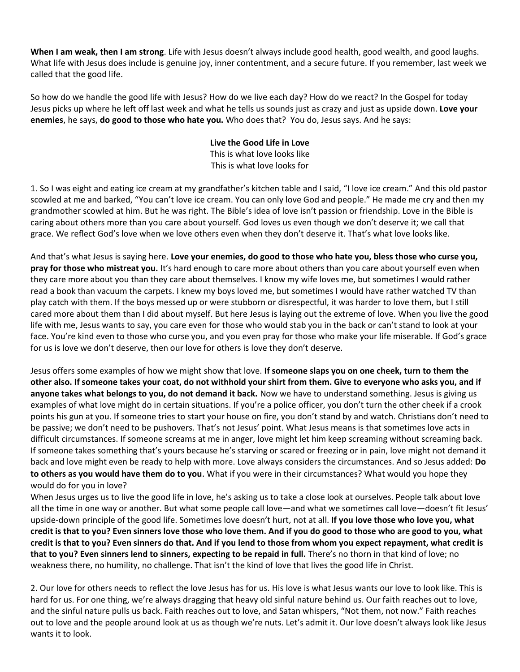**When I am weak, then I am strong**. Life with Jesus doesn't always include good health, good wealth, and good laughs. What life with Jesus does include is genuine joy, inner contentment, and a secure future. If you remember, last week we called that the good life.

So how do we handle the good life with Jesus? How do we live each day? How do we react? In the Gospel for today Jesus picks up where he left off last week and what he tells us sounds just as crazy and just as upside down. **Love your enemies**, he says, **do good to those who hate you.** Who does that? You do, Jesus says. And he says:

## **Live the Good Life in Love**

This is what love looks like This is what love looks for

1. So I was eight and eating ice cream at my grandfather's kitchen table and I said, "I love ice cream." And this old pastor scowled at me and barked, "You can't love ice cream. You can only love God and people." He made me cry and then my grandmother scowled at him. But he was right. The Bible's idea of love isn't passion or friendship. Love in the Bible is caring about others more than you care about yourself. God loves us even though we don't deserve it; we call that grace. We reflect God's love when we love others even when they don't deserve it. That's what love looks like.

And that's what Jesus is saying here. **Love your enemies, do good to those who hate you, bless those who curse you, pray for those who mistreat you.** It's hard enough to care more about others than you care about yourself even when they care more about you than they care about themselves. I know my wife loves me, but sometimes I would rather read a book than vacuum the carpets. I knew my boys loved me, but sometimes I would have rather watched TV than play catch with them. If the boys messed up or were stubborn or disrespectful, it was harder to love them, but I still cared more about them than I did about myself. But here Jesus is laying out the extreme of love. When you live the good life with me, Jesus wants to say, you care even for those who would stab you in the back or can't stand to look at your face. You're kind even to those who curse you, and you even pray for those who make your life miserable. If God's grace for us is love we don't deserve, then our love for others is love they don't deserve.

Jesus offers some examples of how we might show that love. **If someone slaps you on one cheek, turn to them the other also. If someone takes your coat, do not withhold your shirt from them. Give to everyone who asks you, and if anyone takes what belongs to you, do not demand it back.** Now we have to understand something. Jesus is giving us examples of what love might do in certain situations. If you're a police officer, you don't turn the other cheek if a crook points his gun at you. If someone tries to start your house on fire, you don't stand by and watch. Christians don't need to be passive; we don't need to be pushovers. That's not Jesus' point. What Jesus means is that sometimes love acts in difficult circumstances. If someone screams at me in anger, love might let him keep screaming without screaming back. If someone takes something that's yours because he's starving or scared or freezing or in pain, love might not demand it back and love might even be ready to help with more. Love always considers the circumstances. And so Jesus added: **Do to others as you would have them do to you**. What if you were in their circumstances? What would you hope they would do for you in love?

When Jesus urges us to live the good life in love, he's asking us to take a close look at ourselves. People talk about love all the time in one way or another. But what some people call love—and what we sometimes call love—doesn't fit Jesus' upside-down principle of the good life. Sometimes love doesn't hurt, not at all. **If you love those who love you, what credit is that to you? Even sinners love those who love them. And if you do good to those who are good to you, what credit is that to you? Even sinners do that. And if you lend to those from whom you expect repayment, what credit is that to you? Even sinners lend to sinners, expecting to be repaid in full.** There's no thorn in that kind of love; no weakness there, no humility, no challenge. That isn't the kind of love that lives the good life in Christ.

2. Our love for others needs to reflect the love Jesus has for us. His love is what Jesus wants our love to look like. This is hard for us. For one thing, we're always dragging that heavy old sinful nature behind us. Our faith reaches out to love, and the sinful nature pulls us back. Faith reaches out to love, and Satan whispers, "Not them, not now." Faith reaches out to love and the people around look at us as though we're nuts. Let's admit it. Our love doesn't always look like Jesus wants it to look.